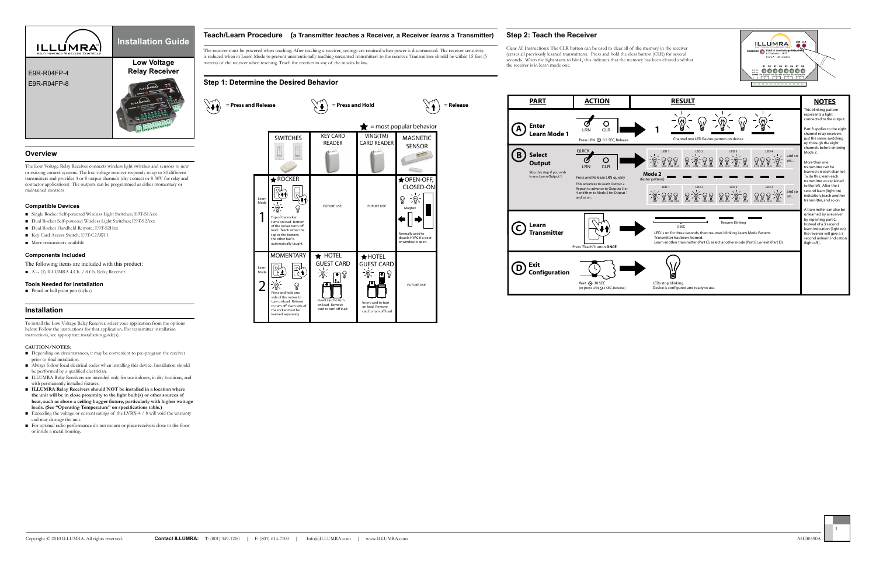the receiver is in learn mode one.



# **Overview**

The Low Voltage Relay Receiver connects wireless light switches and sensors to new or existing control systems. The low voltage receiver responds to up to 80 different transmitters and provides 4 or 8 output channels (dry contact or 8-30V for relay and  $\bigstar$  ROCKER contactor applications). The outputs can be programmed as either momentary or maintained contacts

#### **Compatible Devices**

- Single Rocker Self-powered Wireless Light Switches; E9T-S1Axx
- Dual Rocker Self-powered Wireless Light Switches; E9T-S2Axx
- Dual Rocker Handheld Remote; E9T-S2Hxx
- Key Card Access Switch; E9T-C2AWH
- More transmitters available

## **Components Included**

The following items are included with this product:

- Depending on circumstances, it may be convenient to pre-program the receiver prior to final installation.
- Always follow local electrical codes when installing this device. Installation should be performed by a qualified electrician.
- ILLUMRA Relay Receivers are intended only for use indoors, in dry locations, and with permanently installed fixtures.
- **ILLUMRA Relay Receivers should NOT** be installed in a location where **the unit will be in close proximity to the light bulb(s) or other sources of heat, such as above a ceiling hugger fixture, particularly with higher wattage loads. (See "Operating Temperature" on specifications table.)**
- Exceeding the voltage or current ratings of the LVRX-4 / 8 will void the warranty and may damage the unit.
- For optimal radio performance do not mount or place receivers close to the floor or inside a metal housing.

■ A -- (1) ILLUMRA 4 Ch. / 8 Ch. Relay Receiver

### **Tools Needed for Installation**

■ Pencil or ball point pen (stylus)

# **Installation**

To install the Low Voltage Relay Receiver, select your application from the options below. Follow the instructions for that application. For transmitter installation instructions, see appropriate installation guide(s).

#### **CAUTION/NOTES:**



## **Teach/Learn Procedure (a Transmitter** *teaches* **a Receiver, a Receiver** *learns* **a Transmitter)**

The receiver must be powered when teaching. After teaching a receiver, settings are retained when power is disconnected. The receiver sensitivity is reduced when in Learn Mode to prevent unintentionally teaching unwanted transmitters to the receiver. Transmitters should be within 15 feet (5 meters) of the receiver when teaching. Teach the receiver in any of the modes below.

## **Step 1: Determine the Desired Behavior**

 $\left\langle \mathbf{r} \right\rangle$